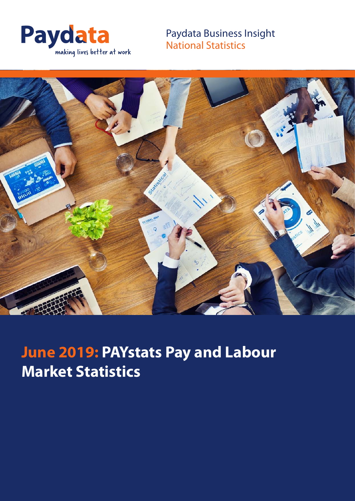

Paydata Business Insight National Statistics



# **June 2019: PAYstats Pay and Labour Market Statistics**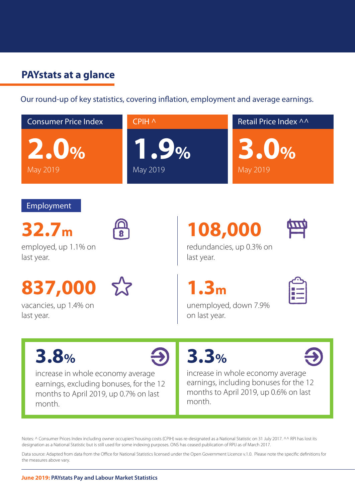## **PAYstats at a glance**

Our round-up of key statistics, covering inflation, employment and average earnings.



Notes: ^ Consumer Prices Index including owner occupiers' housing costs (CPIH) was re-designated as a National Statistic on 31 July 2017. ^^ RPI has lost its designation as a National Statistic but is still used for some indexing purposes. ONS has ceased publication of RPIJ as of March 2017.

Data source: Adapted from data from the Office for National Statistics licensed under the Open Government Licence v.1.0. Please note the specific definitions for the measures above vary.

#### **June 2019: PAYstats Pay and Labour Market Statistics**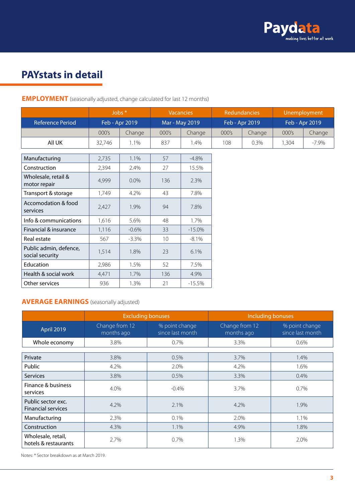

## **PAYstats in detail**

|                                           |        | Jobs $*$<br><b>Vacancies</b> |                 | Redundancies   |                | Unemployment |                |          |
|-------------------------------------------|--------|------------------------------|-----------------|----------------|----------------|--------------|----------------|----------|
| <b>Reference Period</b>                   |        | Feb - Apr 2019               |                 | Mar - May 2019 | Feb - Apr 2019 |              | Feb - Apr 2019 |          |
|                                           | 000's  | Change                       | 000's           | Change         | 000's          | Change       | 000's          | Change   |
| All UK                                    | 32,746 | 1.1%                         | 837             | 1.4%           | 108            | 0.3%         | 1,304          | $-7.9\%$ |
|                                           |        |                              |                 |                |                |              |                |          |
| Manufacturing                             | 2,735  | 1.1%                         | 57              | $-4.8%$        |                |              |                |          |
| Construction                              | 2,394  | 2.4%                         | 27              | 15.5%          |                |              |                |          |
| Wholesale, retail &<br>motor repair       | 4,999  | 0.0%                         | 136             | 2.3%           |                |              |                |          |
| Transport & storage                       | 1,749  | 4.2%                         | 43              | 7.8%           |                |              |                |          |
| Accomodation & food<br>services           | 2,427  | 1.9%                         | 94              | 7.8%           |                |              |                |          |
| Info & communications                     | 1,616  | 5.6%                         | 48              | 1.7%           |                |              |                |          |
| Financial & insurance                     | 1,116  | $-0.6%$                      | 33              | $-15.0%$       |                |              |                |          |
| Real estate                               | 567    | $-3.3\%$                     | 10 <sup>°</sup> | $-8.1%$        |                |              |                |          |
| Public admin, defence,<br>social security | 1,514  | 1.8%                         | 23              | 6.1%           |                |              |                |          |
| Education                                 | 2,986  | 1.5%                         | 52              | 7.5%           |                |              |                |          |
| Health & social work                      | 4,471  | 1.7%                         | 136             | 4.9%           |                |              |                |          |
| Other services                            | 936    | 1.3%                         | 21              | $-15.5%$       |                |              |                |          |

**EMPLOYMENT** (seasonally adjusted, change calculated for last 12 months)

#### **AVERAGE EARNINGS** (seasonally adjusted)

|                                                 | <b>Excluding bonuses</b>     |                                    | <b>Including bonuses</b>     |                                    |  |
|-------------------------------------------------|------------------------------|------------------------------------|------------------------------|------------------------------------|--|
| <b>April 2019</b>                               | Change from 12<br>months ago | % point change<br>since last month | Change from 12<br>months ago | % point change<br>since last month |  |
| Whole economy                                   | 3.8%                         | 0.7%                               | 3.3%                         | 0.6%                               |  |
|                                                 |                              |                                    |                              |                                    |  |
| Private                                         | 3.8%                         | 0.5%                               | 3.7%                         | 1.4%                               |  |
| Public                                          | 4.2%                         | 2.0%                               | 4.2%                         | 1.6%                               |  |
| <b>Services</b>                                 | 3.8%                         | 0.5%                               | 3.3%                         | 0.4%                               |  |
| Finance & business<br>services                  | 4.0%                         | $-0.4%$                            | 3.7%                         | $0.7\%$                            |  |
| Public sector exc.<br><b>Financial services</b> | 4.2%                         | 2.1%                               | 4.2%                         | 1.9%                               |  |
| Manufacturing                                   | 2.3%                         | 0.1%                               | 2.0%                         | 1.1%                               |  |
| Construction                                    | 4.3%                         | 1.1%                               | 4.9%                         | 1.8%                               |  |
| Wholesale, retail,<br>hotels & restaurants      | 2.7%                         | 0.7%                               | 1.3%                         | 2.0%                               |  |

Notes: \* Sector breakdown as at March 2019.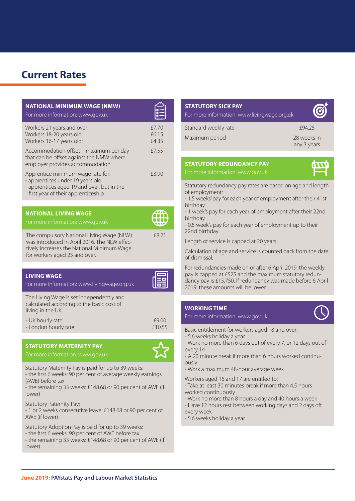## **Current Rates**

| <b>NATIONAL MINIMUM WAGE (NMW)</b><br>For more information: www.gov.uk                                                                                                   |                         |
|--------------------------------------------------------------------------------------------------------------------------------------------------------------------------|-------------------------|
| Workers 21 years and over:<br>Workers 18-20 years old:<br>Workers 16-17 years old:                                                                                       | £7.70<br>£6.15<br>£4.35 |
| Accommodation offset - maximum per day<br>that can be offset against the NMW where<br>employer provides accommodation.                                                   | £7.55                   |
| Apprentice minimum wage rate for:<br>- apprentices under 19 years old<br>- apprentices aged 19 and over, but in the<br>first year of their apprenticeship                | £3.90                   |
|                                                                                                                                                                          |                         |
| <b>NATIONAL LIVING WAGE</b><br>For more information: www.gov.uk                                                                                                          |                         |
| The compulsory National Living Wage (NLW)<br>was introduced in April 2016. The NLW effec-<br>tively increases the National Minimum Wage<br>for workers aged 25 and over. | £8.21                   |
|                                                                                                                                                                          |                         |
| <b>LIVING WAGE</b><br>For more information: www.livingwage.org.uk                                                                                                        |                         |
| The Living Wage is set independently and<br>calculated according to the basic cost of<br>living in the UK.                                                               |                         |
| - UK hourly rate:<br>- London hourly rate:                                                                                                                               | £9.00<br>£10.55         |

#### **STATUTORY MATERNITY PAY**



Statutory Maternity Pay is paid for up to 39 weeks: - the first 6 weeks: 90 per cent of average weekly earnings (AWE) before tax

- the remaining 33 weeks: £148.68 or 90 per cent of AWE (if lower)

Statutory Paternity Pay:

- 1 or 2 weeks consecutive leave: £148.68 or 90 per cent of AWE (if lower)

Statutory Adoption Pay is paid for up to 39 weeks:

- the first 6 weeks: 90 per cent of AWE before tax
- the remaining 33 weeks: £148.68 or 90 per cent of AWE (if lower)

| <b>STATUTORY SICK PAY</b><br>For more information: www.livingwage.org.uk |                            |
|--------------------------------------------------------------------------|----------------------------|
| Standard weekly rate                                                     | £94.25                     |
| Maximum period                                                           | 28 weeks in<br>any 3 years |
|                                                                          |                            |

## **STATUTORY REDUNDANCY PAY**

Statutory redundancy pay rates are based on age and length of employment:

**INMIT** 

- 1.5 weeks' pay for each year of employment after their 41st birthday
- 1 week's pay for each year of employment after their 22nd birthday

- 0.5 week's pay for each year of employment up to their 22nd birthday

Length of service is capped at 20 years.

Calculation of age and service is counted back from the date of dismissal.

For redundancies made on or after 6 April 2019, the weekly pay is capped at £525 and the maximum statutory redundancy pay is £15,750. If redundancy was made before 6 April 2019, these amounts will be lower.

#### **WORKING TIME**

#### For more information: www.gov.uk

Basic entitlement for workers aged 18 and over:

- 5.6 weeks holiday a year
- Work no more than 6 days out of every 7, or 12 days out of every 14
- A 20 minute break if more than 6 hours worked continuously
- Work a maximum 48-hour average week

Workers aged 16 and 17 are entitled to:

- Take at least 30 minutes break if more than 4.5 hours worked continuously
- Work no more than 8 hours a day and 40 hours a week
- Have 12 hours rest between working days and 2 days off every week
- 5.6 weeks holiday a year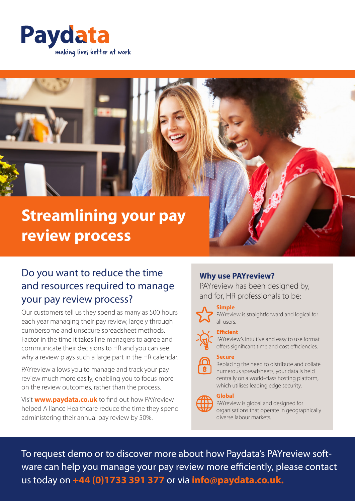



## Do you want to reduce the time and resources required to manage your pay review process?

Our customers tell us they spend as many as 500 hours each year managing their pay review, largely through cumbersome and unsecure spreadsheet methods. Factor in the time it takes line managers to agree and communicate their decisions to HR and you can see why a review plays such a large part in the HR calendar.

PAYreview allows you to manage and track your pay review much more easily, enabling you to focus more on the review outcomes, rather than the process.

Visit **www.paydata.co.uk** to find out how PAYreview helped Alliance Healthcare reduce the time they spend administering their annual pay review by 50%.

## **Why use PAYreview?**

PAYreview has been designed by, and for, HR professionals to be:



**Simple**

PAYreview is straightforward and logical for all users.

## **Efficient**

PAYreview's intuitive and easy to use format offers significant time and cost efficiencies.





Replacing the need to distribute and collate numerous spreadsheets, your data is held centrally on a world-class hosting platform, which utilises leading edge security.

## **Global**

PAYreview is global and designed for organisations that operate in geographically diverse labour markets.

To request demo or to discover more about how Paydata's PAYreview software can help you manage your pay review more efficiently, please contact us today on **+44 (0)1733 391 377** or via **info@paydata.co.uk.**